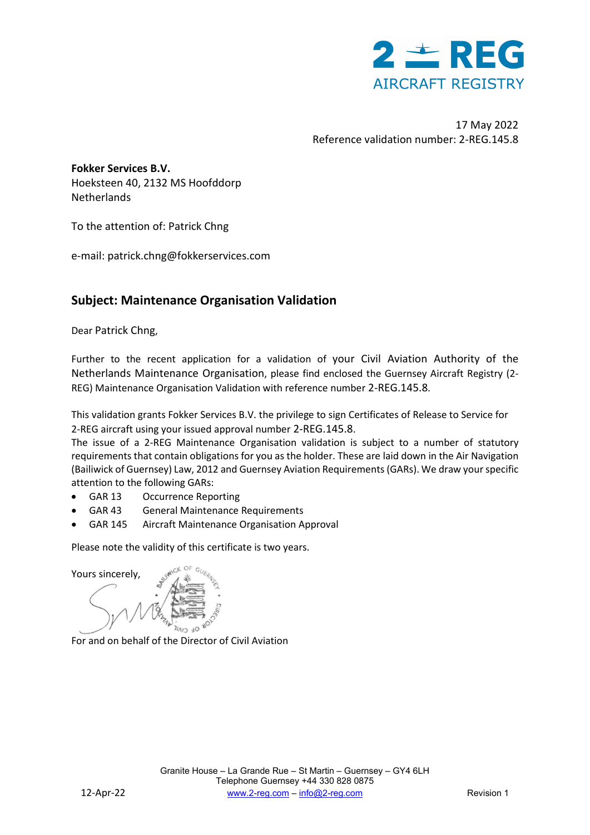

17 May 2022 Reference validation number: 2-REG.145.8

**Fokker Services B.V.** Hoeksteen 40, 2132 MS Hoofddorp Netherlands

To the attention of: Patrick Chng

e-mail: patrick.chng@fokkerservices.com

### **Subject: Maintenance Organisation Validation**

Dear Patrick Chng,

Further to the recent application for a validation of your Civil Aviation Authority of the Netherlands Maintenance Organisation, please find enclosed the Guernsey Aircraft Registry (2- REG) Maintenance Organisation Validation with reference number 2-REG.145.8.

This validation grants Fokker Services B.V. the privilege to sign Certificates of Release to Service for 2-REG aircraft using your issued approval number 2-REG.145.8.

The issue of a 2-REG Maintenance Organisation validation is subject to a number of statutory requirements that contain obligations for you as the holder. These are laid down in the Air Navigation (Bailiwick of Guernsey) Law, 2012 and Guernsey Aviation Requirements (GARs). We draw your specific attention to the following GARs:

- GAR 13 Occurrence Reporting
- GAR 43 General Maintenance Requirements
- GAR 145 Aircraft Maintenance Organisation Approval

Please note the validity of this certificate is two years.

Yours sincerely,

For and on behalf of the Director of Civil Aviation